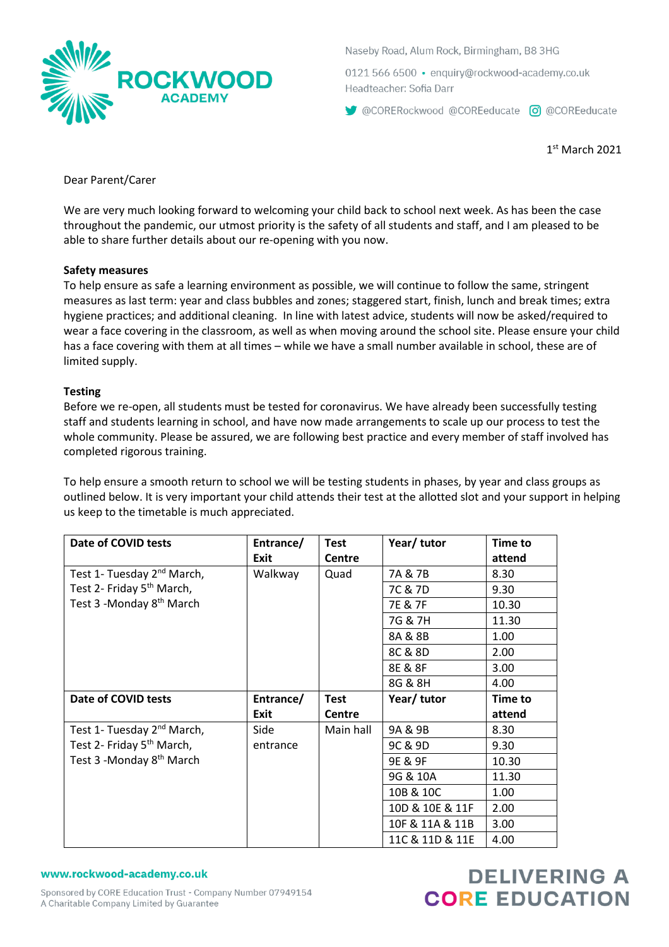

Naseby Road, Alum Rock, Birmingham, B8 3HG

0121 566 6500 · enquiry@rockwood-academy.co.uk Headteacher: Sofia Darr

CORERockwood @COREeducate co @COREeducate

1 st March 2021

Dear Parent/Carer

We are very much looking forward to welcoming your child back to school next week. As has been the case throughout the pandemic, our utmost priority is the safety of all students and staff, and I am pleased to be able to share further details about our re-opening with you now.

### **Safety measures**

To help ensure as safe a learning environment as possible, we will continue to follow the same, stringent measures as last term: year and class bubbles and zones; staggered start, finish, lunch and break times; extra hygiene practices; and additional cleaning. In line with latest advice, students will now be asked/required to wear a face covering in the classroom, as well as when moving around the school site. Please ensure your child has a face covering with them at all times – while we have a small number available in school, these are of limited supply.

### **Testing**

Before we re-open, all students must be tested for coronavirus. We have already been successfully testing staff and students learning in school, and have now made arrangements to scale up our process to test the whole community. Please be assured, we are following best practice and every member of staff involved has completed rigorous training.

To help ensure a smooth return to school we will be testing students in phases, by year and class groups as outlined below. It is very important your child attends their test at the allotted slot and your support in helping us keep to the timetable is much appreciated.

| Date of COVID tests                    | Entrance/<br>Exit | <b>Test</b><br><b>Centre</b> | Year/ tutor     | <b>Time to</b><br>attend |
|----------------------------------------|-------------------|------------------------------|-----------------|--------------------------|
| Test 1- Tuesday 2 <sup>nd</sup> March, | Walkway           | Quad                         | 7A & 7B         | 8.30                     |
| Test 2- Friday 5 <sup>th</sup> March,  |                   |                              | 7C & 7D         | 9.30                     |
| Test 3 -Monday 8 <sup>th</sup> March   |                   |                              | 7E & 7F         | 10.30                    |
|                                        |                   |                              | 7G & 7H         | 11.30                    |
|                                        |                   |                              | 8A & 8B         | 1.00                     |
|                                        |                   |                              | 8C & 8D         | 2.00                     |
|                                        |                   |                              | 8E & 8F         | 3.00                     |
|                                        |                   |                              | 8G & 8H         | 4.00                     |
| Date of COVID tests                    | Entrance/         | <b>Test</b>                  | Year/tutor      | <b>Time to</b>           |
|                                        | <b>Exit</b>       | <b>Centre</b>                |                 | attend                   |
| Test 1- Tuesday 2 <sup>nd</sup> March, | Side              | Main hall                    | 9A & 9B         | 8.30                     |
| Test 2- Friday 5 <sup>th</sup> March,  | entrance          |                              | 9C & 9D         | 9.30                     |
| Test 3 -Monday 8 <sup>th</sup> March   |                   |                              | 9E & 9F         | 10.30                    |
|                                        |                   |                              | 9G & 10A        | 11.30                    |
|                                        |                   |                              | 10B & 10C       | 1.00                     |
|                                        |                   |                              | 10D & 10E & 11F | 2.00                     |
|                                        |                   |                              | 10F & 11A & 11B | 3.00                     |
|                                        |                   |                              |                 |                          |

#### www.rockwood-academy.co.uk

# **DELIVERING A CORE EDUCATION**

Sponsored by CORE Education Trust - Company Number 07949154 A Charitable Company Limited by Guarantee